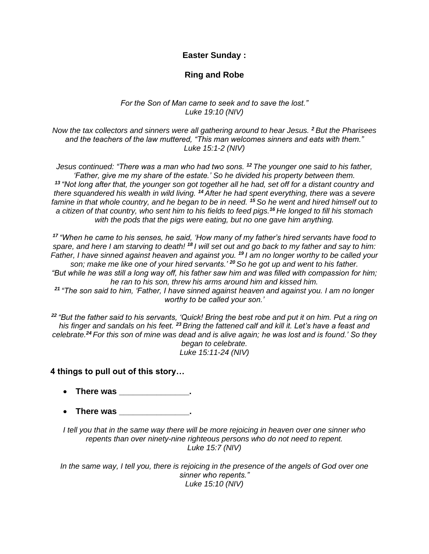## **Easter Sunday :**

## **Ring and Robe**

## *For the Son of Man came to seek and to save the lost." Luke 19:10 (NIV)*

*Now the tax collectors and sinners were all gathering around to hear Jesus. <sup>2</sup> But the Pharisees and the teachers of the law muttered, "This man welcomes sinners and eats with them." Luke 15:1-2 (NIV)*

*Jesus continued: "There was a man who had two sons. <sup>12</sup> The younger one said to his father, 'Father, give me my share of the estate.' So he divided his property between them. <sup>13</sup> "Not long after that, the younger son got together all he had, set off for a distant country and there squandered his wealth in wild living. <sup>14</sup> After he had spent everything, there was a severe famine in that whole country, and he began to be in need. <sup>15</sup> So he went and hired himself out to a citizen of that country, who sent him to his fields to feed pigs.<sup>16</sup> He longed to fill his stomach with the pods that the pigs were eating, but no one gave him anything.*

*<sup>17</sup> "When he came to his senses, he said, 'How many of my father's hired servants have food to spare, and here I am starving to death! <sup>18</sup> I will set out and go back to my father and say to him: Father, I have sinned against heaven and against you. <sup>19</sup> I am no longer worthy to be called your son; make me like one of your hired servants.' <sup>20</sup> So he got up and went to his father.*

*"But while he was still a long way off, his father saw him and was filled with compassion for him; he ran to his son, threw his arms around him and kissed him.*

*<sup>21</sup> "The son said to him, 'Father, I have sinned against heaven and against you. I am no longer worthy to be called your son.'*

*<sup>22</sup> "But the father said to his servants, 'Quick! Bring the best robe and put it on him. Put a ring on his finger and sandals on his feet. <sup>23</sup> Bring the fattened calf and kill it. Let's have a feast and celebrate.<sup>24</sup> For this son of mine was dead and is alive again; he was lost and is found.' So they began to celebrate. Luke 15:11-24 (NIV)*

**4 things to pull out of this story…**

- There was \_\_\_\_\_\_\_\_\_\_\_\_\_\_\_\_\_.
- **There was \_\_\_\_\_\_\_\_\_\_\_\_\_\_\_.**

*I tell you that in the same way there will be more rejoicing in heaven over one sinner who repents than over ninety-nine righteous persons who do not need to repent. Luke 15:7 (NIV)*

*In the same way, I tell you, there is rejoicing in the presence of the angels of God over one sinner who repents." Luke 15:10 (NIV)*